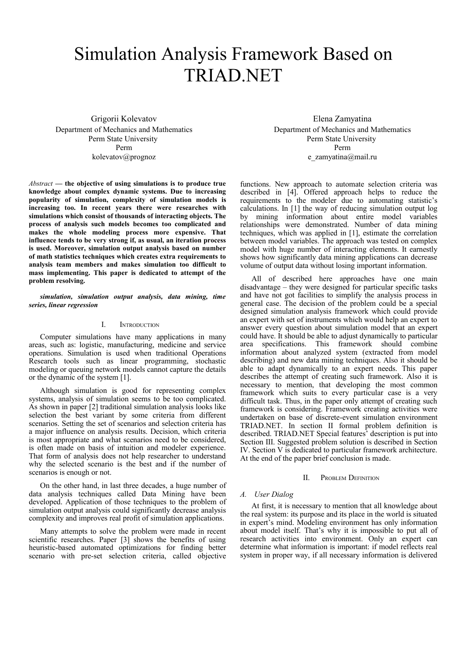# Simulation Analysis Framework Based on TRIAD.NET

Grigorii Kolevatov Department of Mechanics and Mathematics Perm State University Perm kolevatov@prognoz

*Abstract* **— the objective of using simulations is to produce true knowledge about complex dynamic systems. Due to increasing popularity of simulation, complexity of simulation models is increasing too. In recent years there were researches with simulations which consist of thousands of interacting objects. The process of analysis such models becomes too complicated and makes the whole modeling process more expensive. That influence tends to be very strong if, as usual, an iteration process is used. Moreover, simulation output analysis based on number of math statistics techniques which creates extra requirements to analysis team members and makes simulation too difficult to mass implementing. This paper is dedicated to attempt of the problem resolving.**

*simulation, simulation output analysis, data mining, time series, linear regression*

## I. INTRODUCTION

Computer simulations have many applications in many areas, such as: logistic, manufacturing, medicine and service operations. Simulation is used when traditional Operations Research tools such as linear programming, stochastic modeling or queuing network models cannot capture the details or the dynamic of the system [1].

Although simulation is good for representing complex systems, analysis of simulation seems to be too complicated. As shown in paper [2] traditional simulation analysis looks like selection the best variant by some criteria from different scenarios. Setting the set of scenarios and selection criteria has a major influence on analysis results. Decision, which criteria is most appropriate and what scenarios need to be considered, is often made on basis of intuition and modeler experience. That form of analysis does not help researcher to understand why the selected scenario is the best and if the number of scenarios is enough or not.

On the other hand, in last three decades, a huge number of data analysis techniques called Data Mining have been developed. Application of those techniques to the problem of simulation output analysis could significantly decrease analysis complexity and improves real profit of simulation applications.

Many attempts to solve the problem were made in recent scientific researches. Paper [3] shows the benefits of using heuristic-based automated optimizations for finding better scenario with pre-set selection criteria, called objective

Elena Zamyatina Department of Mechanics and Mathematics Perm State University Perm e\_zamyatina@mail.ru

functions. New approach to automate selection criteria was described in [4]. Offered approach helps to reduce the requirements to the modeler due to automating statistic's calculations. In [1] the way of reducing simulation output log by mining information about entire model variables relationships were demonstrated. Number of data mining techniques, which was applied in [1], estimate the correlation between model variables. The approach was tested on complex model with huge number of interacting elements. It earnestly shows how significantly data mining applications can decrease volume of output data without losing important information.

All of described here approaches have one main disadvantage – they were designed for particular specific tasks and have not got facilities to simplify the analysis process in general case. The decision of the problem could be a special designed simulation analysis framework which could provide an expert with set of instruments which would help an expert to answer every question about simulation model that an expert could have. It should be able to adjust dynamically to particular area specifications. This framework should combine information about analyzed system (extracted from model describing) and new data mining techniques. Also it should be able to adapt dynamically to an expert needs. This paper describes the attempt of creating such framework. Also it is necessary to mention, that developing the most common framework which suits to every particular case is a very difficult task. Thus, in the paper only attempt of creating such framework is considering. Framework creating activities were undertaken on base of discrete-event simulation environment TRIAD.NET. In section II formal problem definition is described. TRIAD.NET Special features' description is put into Section III. Suggested problem solution is described in Section IV. Section V is dedicated to particular framework architecture. At the end of the paper brief conclusion is made.

# II. PROBLEM DEFINITION

# *A. User Dialog*

At first, it is necessary to mention that all knowledge about the real system: its purpose and its place in the world is situated in expert's mind. Modeling environment has only information about model itself. That's why it is impossible to put all of research activities into environment. Only an expert can determine what information is important: if model reflects real system in proper way, if all necessary information is delivered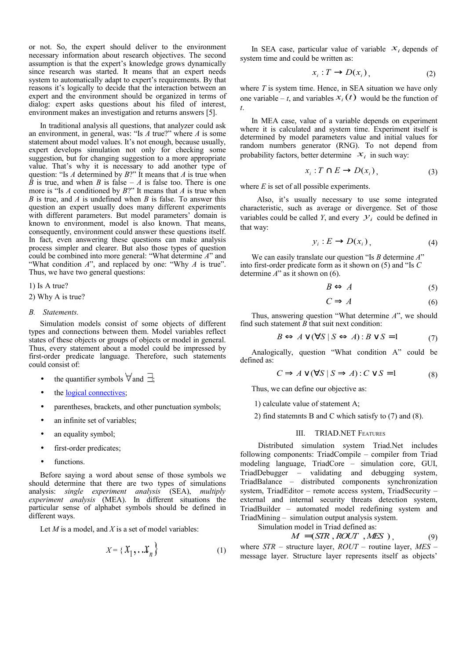or not. So, the expert should deliver to the environment necessary information about research objectives. The second assumption is that the expert's knowledge grows dynamically since research was started. It means that an expert needs system to automatically adapt to expert's requirements. By that reasons it's logically to decide that the interaction between an expert and the environment should be organized in terms of dialog: expert asks questions about his filed of interest, environment makes an investigation and returns answers [5].

In traditional analysis all questions, that analyzer could ask an environment, in general, was: "Is *A* true?" where *A* is some statement about model values. It's not enough, because usually, expert develops simulation not only for checking some suggestion, but for changing suggestion to a more appropriate value. That's why it is necessary to add another type of question: "Is *A* determined by *B*?" It means that *A* is true when  $\overline{B}$  is true, and when *B* is false – *A* is false too. There is one more is "Is *A* conditioned by *B*?" It means that *A* is true when *B* is true, and *A* is undefined when *B* is false. To answer this question an expert usually does many different experiments with different parameters. But model parameters' domain is known to environment, model is also known. That means, consequently, environment could answer these questions itself. In fact, even answering these questions can make analysis process simpler and clearer. But also those types of question could be combined into more general: "What determine *A*" and "What condition *A*", and replaced by one: "Why *A* is true". Thus, we have two general questions:

## 1) Is A true?

2) Why A is true?

# *B. Statements.*

Simulation models consist of some objects of different types and connections between them. Model variables reflect states of these objects or groups of objects or model in general. Thus, every statement about a model could be impressed by first-order predicate language. Therefore, such statements could consist of:

- the quantifier symbols  $\forall$  and  $\exists$ ;
- the <u>logical connectives</u>;
- parentheses, brackets, and other punctuation symbols;
- an infinite set of variables;
- an equality symbol;
- first-order predicates;
- functions.

Before saying a word about sense of those symbols we should determine that there are two types of simulations analysis: *single experiment analysis* (SEA), *multiply experiment analysis* (MEA). In different situations the particular sense of alphabet symbols should be defined in different ways.

Let *M* is a model, and *X* is a set of model variables:

$$
X = \{ \mathcal{X}_1, \dots \mathcal{X}_n \} \tag{1}
$$

In SEA case, particular value of variable  $x_i$  depends of system time and could be written as:

$$
x_i: T \to D(x_i), \tag{2}
$$

where *T* is system time. Hence, in SEA situation we have only one variable – *t*, and variables  $x_i(t)$  would be the function of *t*.

In MEA case, value of a variable depends on experiment where it is calculated and system time. Experiment itself is determined by model parameters value and initial values for random numbers generator (RNG). To not depend from probability factors, better determine  $x_i$  in such way:

$$
x_i: T \cap E \to D(x_i), \tag{3}
$$

where *E* is set of all possible experiments.

 Also, it's usually necessary to use some integrated characteristic, such as average or divergence. Set of those variables could be called *Y*, and every  $\mathcal{Y}_i$  could be defined in that way:

$$
y_i: E \to D(x_i), \tag{4}
$$

We can easily translate our question "Is *B* determine *A*" into first-order predicate form as it shown on (5) and "Is *C* determine *A*" as it shown on (6).

$$
B \Leftrightarrow A \tag{5}
$$

$$
C \Rightarrow A \tag{6}
$$

Thus, answering question "What determine *A*", we should find such statement  $\overline{B}$  that suit next condition:

$$
B \Leftrightarrow A \lor (\forall S \mid S \Leftrightarrow A) : B \lor S = 1 \tag{7}
$$

Analogically, question "What condition A" could be defined as:

$$
C \Rightarrow A \lor (\forall S \mid S \Rightarrow A) : C \lor S = 1
$$
 (8)

Thus, we can define our objective as:

1) calculate value of statement A;

2) find statemnts B and C which satisfy to (7) and (8).

#### III. TRIAD.NET FEATURES

Distributed simulation system Triad.Net includes following components: TriadCompile – compiler from Triad modeling language, TriadCore – simulation core, GUI, TriadDebugger – validating and debugging system, TriadBalance – distributed components synchronization system, TriadEditor – remote access system, TriadSecurity – external and internal security threats detection system, TriadBuilder – automated model redefining system and TriadMining – simulation output analysis system.

Simulation model in Triad defined as:

$$
M = (STR, ROUT, MES), \qquad (9)
$$

where *STR* – structure layer, *ROUT* – routine layer, *MES* – message layer. Structure layer represents itself as objects'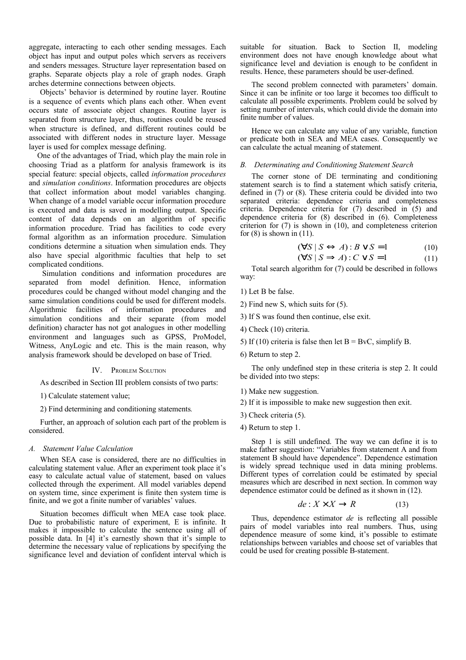aggregate, interacting to each other sending messages. Each object has input and output poles which servers as receivers and senders messages. Structure layer representation based on graphs. Separate objects play a role of graph nodes. Graph arches determine connections between objects.

Objects' behavior is determined by routine layer. Routine is a sequence of events which plans each other. When event occurs state of associate object changes. Routine layer is separated from structure layer, thus, routines could be reused when structure is defined, and different routines could be associated with different nodes in structure layer. Message layer is used for complex message defining.

One of the advantages of Triad, which play the main role in choosing Triad as a platform for analysis framework is its special feature: special objects, called *information procedures* and *simulation conditions*. Information procedures are objects that collect information about model variables changing. When change of a model variable occur information procedure is executed and data is saved in modelling output. Specific content of data depends on an algorithm of specific information procedure. Triad has facilities to code every formal algorithm as an information procedure. Simulation conditions determine a situation when simulation ends. They also have special algorithmic faculties that help to set complicated conditions.

Simulation conditions and information procedures are separated from model definition. Hence, information procedures could be changed without model changing and the same simulation conditions could be used for different models. Algorithmic facilities of information procedures and simulation conditions and their separate (from model definition) character has not got analogues in other modelling environment and languages such as GPSS, ProModel, Witness, AnyLogic and etc. This is the main reason, why analysis framework should be developed on base of Tried.

IV. PROBLEM SOLUTION

As described in Section III problem consists of two parts:

1) Calculate statement value;

2) Find determining and conditioning statements*.*

Further, an approach of solution each part of the problem is considered.

#### *A. Statement Value Calculation*

When SEA case is considered, there are no difficulties in calculating statement value. After an experiment took place it's easy to calculate actual value of statement, based on values collected through the experiment. All model variables depend on system time, since experiment is finite then system time is finite, and we got a finite number of variables' values.

Situation becomes difficult when MEA case took place. Due to probabilistic nature of experiment, E is infinite. It makes it impossible to calculate the sentence using all of possible data. In [4] it's earnestly shown that it's simple to determine the necessary value of replications by specifying the significance level and deviation of confident interval which is

suitable for situation. Back to Section II, modeling environment does not have enough knowledge about what significance level and deviation is enough to be confident in results. Hence, these parameters should be user-defined.

The second problem connected with parameters' domain. Since it can be infinite or too large it becomes too difficult to calculate all possible experiments. Problem could be solved by setting number of intervals, which could divide the domain into finite number of values.

Hence we can calculate any value of any variable, function or predicate both in SEA and MEA cases. Consequently we can calculate the actual meaning of statement.

### *B. Determinating and Conditioning Statement Search*

The corner stone of DE terminating and conditioning statement search is to find a statement which satisfy criteria, defined in (7) or (8). These criteria could be divided into two separated criteria: dependence criteria and completeness criteria. Dependence criteria for (7) described in (5) and dependence criteria for (8) described in (6). Completeness criterion for (7) is shown in (10), and completeness criterion for  $(8)$  is shown in  $(11)$ .

$$
(\forall S \mid S \Longleftrightarrow A) : B \vee S = 1 \tag{10}
$$

$$
(\forall S \mid S \implies A) : C \vee S = 1 \tag{11}
$$

Total search algorithm for (7) could be described in follows way:

1) Let B be false.

- 2) Find new S, which suits for (5).
- 3) If S was found then continue, else exit.
- 4) Check (10) criteria.
- 5) If (10) criteria is false then let  $B = BvC$ , simplify B.
- 6) Return to step 2.

The only undefined step in these criteria is step 2. It could be divided into two steps:

- 1) Make new suggestion.
- 2) If it is impossible to make new suggestion then exit.
- 3) Check criteria (5).
- 4) Return to step 1.

Step 1 is still undefined. The way we can define it is to make father suggestion: "Variables from statement A and from statement B should have dependence". Dependence estimation is widely spread technique used in data mining problems. Different types of correlation could be estimated by special measures which are described in next section. In common way dependence estimator could be defined as it shown in (12).

$$
de: X \times X \to R \tag{13}
$$

Thus, dependence estimator *de* is reflecting all possible pairs of model variables into real numbers. Thus, using dependence measure of some kind, it's possible to estimate relationships between variables and choose set of variables that could be used for creating possible B-statement.